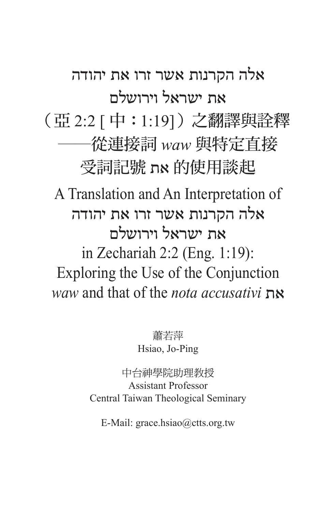## אלה הקרנות אשר זרו את יהודה את ישראל וירושלם (亞 2:2 [ 中:1:19])之翻譯與詮釋 ──從連接詞 *waw* 與特定直接 受詞記號 את 的使用談起 A Translation and An Interpretation of אלה הקרנות אשר זרו את יהודה את ישראל וירושלם in Zechariah 2:2 (Eng. 1:19): Exploring the Use of the Conjunction *waw* and that of the *nota accusativi* את

蕭若萍 Hsiao, Jo-Ping

中台神學院助理教授 Assistant Professor Central Taiwan Theological Seminary

E-Mail: grace.hsiao@ctts.org.tw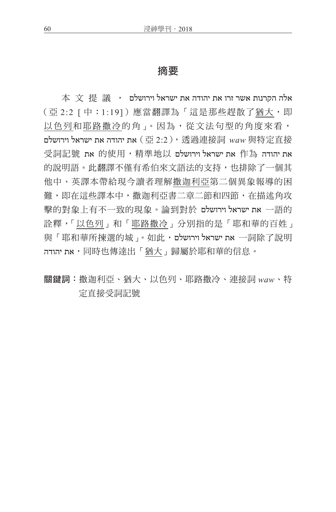## 摘要

 $\ket{\text{\texttt{x}}}$  אלה הקרנות אשר זרו את יהודה את ישראל וירושלם  $\ket{\text{\texttt{t}}}$ (亞 2:2 [中:1:19])應當翻譯為「這是那些趕散了猶大,即 以色列和耶路撒冷的角」。因為,從文法句型的角度來看, את יהודה את ישראל וירושלם (西2:2), 透過連接詞 waw 與特定直接  $\vec{r}$ את יהודה 作為 את ישראל וירושלם שראל וירושלם את ישראל וירושלם 的說明語。此翻譯不僅有希伯來文語法的支持,也排除了一個其 他中、英譯本帶給現今讀者理解撒迦利亞第二個異象報導的困 難,即在這些譯本中,撒迦利亞書二章二節和四節,在描述角攻 一語的 את ישראל וירושלם 論到對於。擊的對象上有不一致的現象 詮釋,「以色列」和「耶路撒冷」分別指的是「耶和華的百姓」 與「耶和華所揀選的城」。如此,וירושלם ישראל את 一詞除了說明 יהודה את,同時也傳達出「猶大」歸屬於耶和華的信息。

關鍵詞:撒迦利亞、猶大、以色列、耶路撒冷、連接詞 *waw*、特 定直接受詞記號